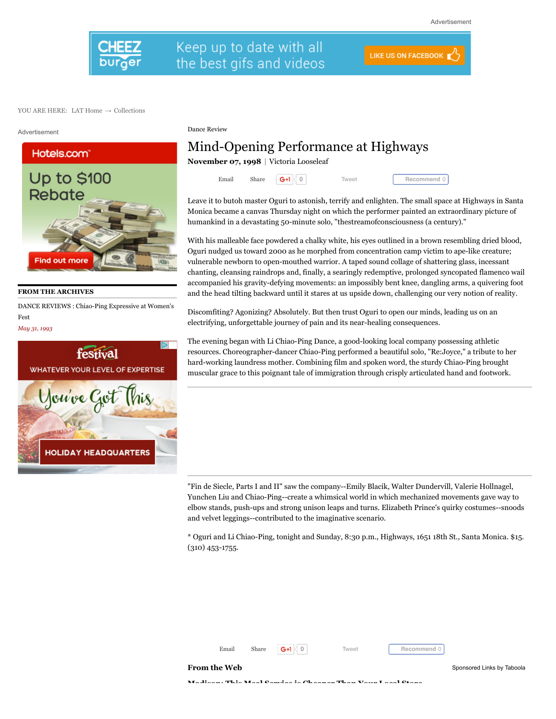

## Keep up to date with all the best gifs and videos

**LIKE US ON FACEBOOK** 

YOU ARE HERE: [LAT Home](http://www.latimes.com/)  $\rightarrow$  [Collections](http://articles.latimes.com/)

Advertisement



**FROM THE ARCHIVES**

[DANCE REVIEWS : Chiao-Ping Expressive at Women's](http://articles.latimes.com/1993-05-31/entertainment/ca-41808_1_li-chiao-ping) Fest

*May 31, 1993*



Dance Review

## Mind-Opening Performance at Highways

**[November 07, 1998](http://articles.latimes.com/1998/nov/07)** | Victoria Looseleaf

Email Share  $\boxed{G+1}$  0 [Tweet](https://twitter.com/intent/tweet?original_referer=http%3A%2F%2Farticles.latimes.com%2F1998%2Fnov%2F07%2Fentertainment%2Fca-40139&ref_src=twsrc%5Etfw&related=latimes&text=Mind-Opening%20Performance%20at%20Highways%20-%20latimes&tw_p=tweetbutton&url=http%3A%2F%2Farticles.latimes.com%2F1998%2Fnov%2F07%2Fentertainment%2Fca-40139&via=latimes)

**Recommend** 0

Leave it to butoh master Oguri to astonish, terrify and enlighten. The small space at Highways in Santa Monica became a canvas Thursday night on which the performer painted an extraordinary picture of humankind in a devastating 50-minute solo, "thestreamofconsciousness (a century)."

With his malleable face powdered a chalky white, his eyes outlined in a brown resembling dried blood, Oguri nudged us toward 2000 as he morphed from concentration camp victim to ape-like creature; vulnerable newborn to open-mouthed warrior. A taped sound collage of shattering glass, incessant chanting, cleansing raindrops and, finally, a searingly redemptive, prolonged syncopated flamenco wail accompanied his gravity-defying movements: an impossibly bent knee, dangling arms, a quivering foot and the head tilting backward until it stares at us upside down, challenging our very notion of reality.

Discomfiting? Agonizing? Absolutely. But then trust Oguri to open our minds, leading us on an electrifying, unforgettable journey of pain and its near-healing consequences.

The evening began with Li Chiao-Ping Dance, a good-looking local company possessing athletic resources. Choreographer-dancer Chiao-Ping performed a beautiful solo, "Re:Joyce," a tribute to her hard-working laundress mother. Combining film and spoken word, the sturdy Chiao-Ping brought muscular grace to this poignant tale of immigration through crisply articulated hand and footwork.

"Fin de Siecle, Parts I and II" saw the company--Emily Blacik, Walter Dundervill, Valerie Hollnagel, Yunchen Liu and Chiao-Ping--create a whimsical world in which mechanized movements gave way to elbow stands, push-ups and strong unison leaps and turns. Elizabeth Prince's quirky costumes--snoods and velvet leggings--contributed to the imaginative scenario.

\* Oguri and Li Chiao-Ping, tonight and Sunday, 8:30 p.m., Highways, 1651 18th St., Santa Monica. \$15. (310) 453-1755.



**Recommend** 0

**[Madison: This Meal Service is Cheaper Than Your Local Store](https://www.homechef.com/skip-the-store?utm_source=taboola&utm_medium=cpc_clicks&utm_campaign=tab.30.1&voucher=TB30FREE&utm_content=%24%7Bcity%3Acapitalized%7D%24%3A+This+Meal+Service+is+Cheaper+Than+Your+Local+Store-http%3A%2F%2Fcdn.taboolasyndication.com%2Flibtrc%2Fstatic%2Fthumbnails%2F9478e09fee5e45ed1216b9ddcc24cc80.png&utm_term=latimes)**